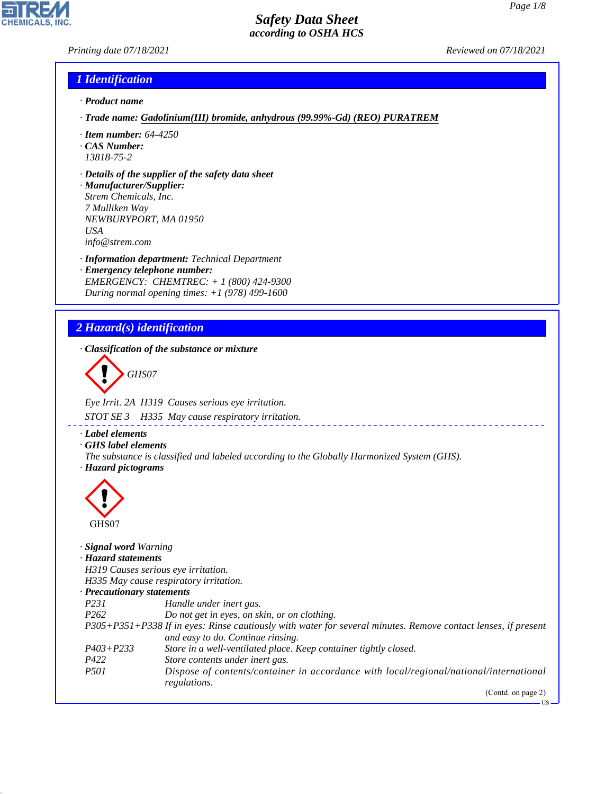*Printing date 07/18/2021 Reviewed on 07/18/2021*

**CHEMICALS, INC** 

# *1 Identification*

- *· Product name*
- *· Trade name: Gadolinium(III) bromide, anhydrous (99.99%-Gd) (REO) PURATREM*
- *· Item number: 64-4250*
- *· CAS Number: 13818-75-2*
- *· Details of the supplier of the safety data sheet*
- *· Manufacturer/Supplier: Strem Chemicals, Inc. 7 Mulliken Way NEWBURYPORT, MA 01950 USA info@strem.com*
- *· Information department: Technical Department · Emergency telephone number: EMERGENCY: CHEMTREC: + 1 (800) 424-9300 During normal opening times: +1 (978) 499-1600*

# *2 Hazard(s) identification*

*· Classification of the substance or mixture*

d~*GHS07*

*Eye Irrit. 2A H319 Causes serious eye irritation. STOT SE 3 H335 May cause respiratory irritation.*

*· Label elements*

- *· GHS label elements*
- *The substance is classified and labeled according to the Globally Harmonized System (GHS). · Hazard pictograms*



44.1.1

| GHS07                      |                                                                                                               |
|----------------------------|---------------------------------------------------------------------------------------------------------------|
| · Signal word Warning      |                                                                                                               |
| · Hazard statements        |                                                                                                               |
|                            | H319 Causes serious eye irritation.                                                                           |
|                            | H335 May cause respiratory irritation.                                                                        |
| · Precautionary statements |                                                                                                               |
| <i>P231</i>                | Handle under inert gas.                                                                                       |
| P <sub>262</sub>           | Do not get in eyes, on skin, or on clothing.                                                                  |
|                            | P305+P351+P338 If in eyes: Rinse cautiously with water for several minutes. Remove contact lenses, if present |
|                            | and easy to do. Continue rinsing.                                                                             |
| $P403 + P233$              | Store in a well-ventilated place. Keep container tightly closed.                                              |
| P422                       | Store contents under inert gas.                                                                               |
| <i>P501</i>                | Dispose of contents/container in accordance with local/regional/national/international                        |
|                            | regulations.                                                                                                  |
|                            | (Contd. on page 2)                                                                                            |
|                            | - US                                                                                                          |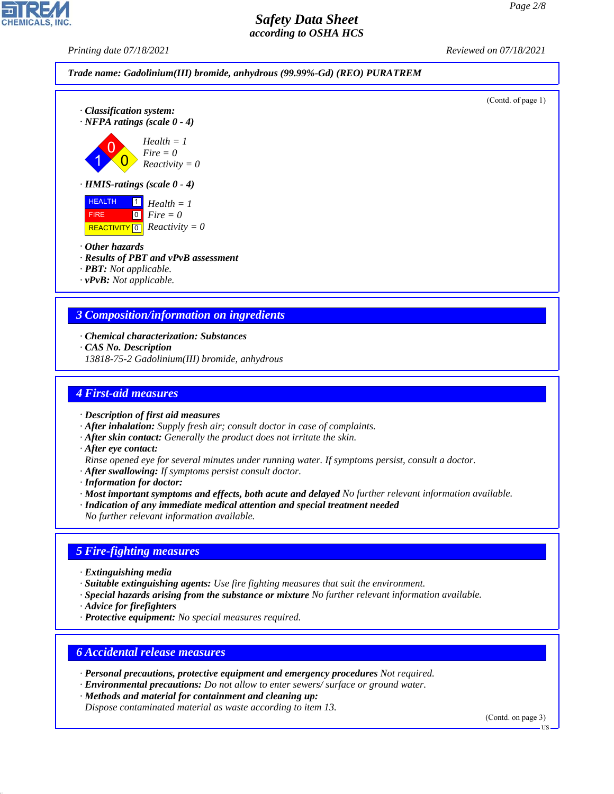*Printing date 07/18/2021 Reviewed on 07/18/2021*



- *· Other hazards*
- *· Results of PBT and vPvB assessment*
- *· PBT: Not applicable.*
- *· vPvB: Not applicable.*

## *3 Composition/information on ingredients*

- *· Chemical characterization: Substances*
- *· CAS No. Description*
- *13818-75-2 Gadolinium(III) bromide, anhydrous*

# *4 First-aid measures*

- *· Description of first aid measures*
- *· After inhalation: Supply fresh air; consult doctor in case of complaints.*
- *· After skin contact: Generally the product does not irritate the skin.*
- *· After eye contact:*
- *Rinse opened eye for several minutes under running water. If symptoms persist, consult a doctor.*
- *· After swallowing: If symptoms persist consult doctor.*
- *· Information for doctor:*
- *· Most important symptoms and effects, both acute and delayed No further relevant information available.*
- *· Indication of any immediate medical attention and special treatment needed*
- *No further relevant information available.*

# *5 Fire-fighting measures*

- *· Extinguishing media*
- *· Suitable extinguishing agents: Use fire fighting measures that suit the environment.*
- *· Special hazards arising from the substance or mixture No further relevant information available.*
- *· Advice for firefighters*

44.1.1

*· Protective equipment: No special measures required.*

## *6 Accidental release measures*

- *· Personal precautions, protective equipment and emergency procedures Not required.*
- *· Environmental precautions: Do not allow to enter sewers/ surface or ground water.*
- *· Methods and material for containment and cleaning up:*
- *Dispose contaminated material as waste according to item 13.*

(Contd. on page 3)

US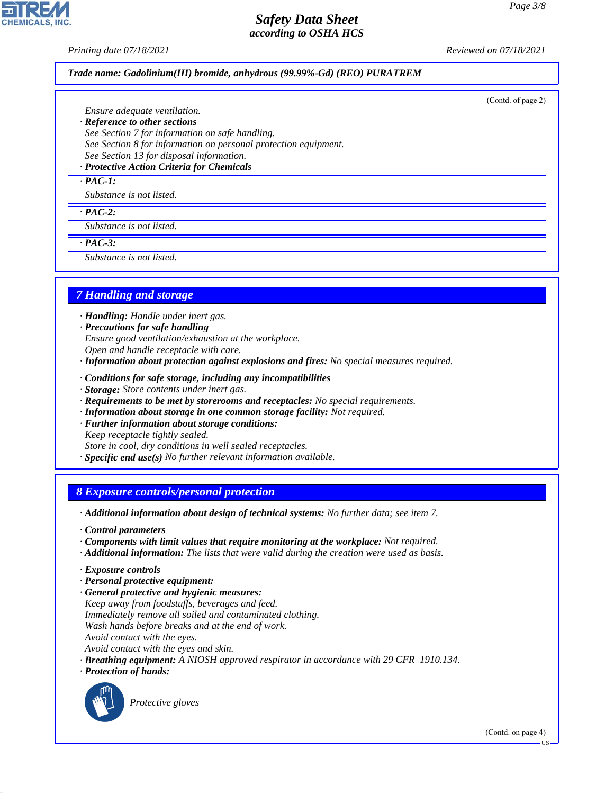(Contd. of page 2)

# *Safety Data Sheet according to OSHA HCS*

*Printing date 07/18/2021 Reviewed on 07/18/2021*

### *Trade name: Gadolinium(III) bromide, anhydrous (99.99%-Gd) (REO) PURATREM*

*Ensure adequate ventilation.*

- *· Reference to other sections*
- *See Section 7 for information on safe handling.*
- *See Section 8 for information on personal protection equipment.*
- *See Section 13 for disposal information.*

# *· Protective Action Criteria for Chemicals*

*· PAC-1:*

## *Substance is not listed.*

*· PAC-2:*

*Substance is not listed.*

*· PAC-3:*

*Substance is not listed.*

# *7 Handling and storage*

- *· Handling: Handle under inert gas.*
- *· Precautions for safe handling*
- *Ensure good ventilation/exhaustion at the workplace.*
- *Open and handle receptacle with care.*
- *· Information about protection against explosions and fires: No special measures required.*
- *· Conditions for safe storage, including any incompatibilities*
- *· Storage: Store contents under inert gas.*
- *· Requirements to be met by storerooms and receptacles: No special requirements.*
- *· Information about storage in one common storage facility: Not required.*
- *· Further information about storage conditions:*
- *Keep receptacle tightly sealed.*
- *Store in cool, dry conditions in well sealed receptacles.*
- *· Specific end use(s) No further relevant information available.*

## *8 Exposure controls/personal protection*

*· Additional information about design of technical systems: No further data; see item 7.*

- *· Control parameters*
- *· Components with limit values that require monitoring at the workplace: Not required.*
- *· Additional information: The lists that were valid during the creation were used as basis.*
- *· Exposure controls*
- *· Personal protective equipment:*
- *· General protective and hygienic measures:*
- *Keep away from foodstuffs, beverages and feed.*
- *Immediately remove all soiled and contaminated clothing.*
- *Wash hands before breaks and at the end of work.*
- *Avoid contact with the eyes.*
- *Avoid contact with the eyes and skin.*
- *· Breathing equipment: A NIOSH approved respirator in accordance with 29 CFR 1910.134.*
- *· Protection of hands:*



44.1.1

\_S*Protective gloves*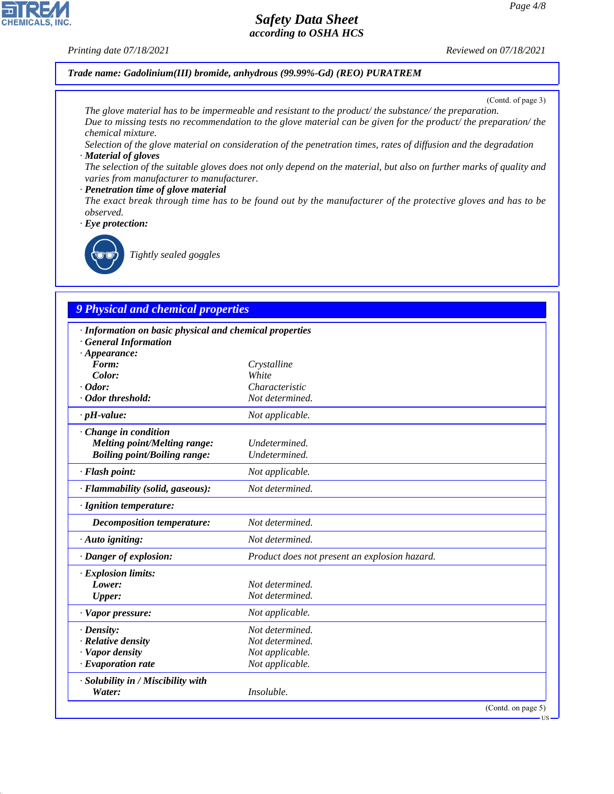## *Printing date 07/18/2021 Reviewed on 07/18/2021*

*Trade name: Gadolinium(III) bromide, anhydrous (99.99%-Gd) (REO) PURATREM*

(Contd. of page 3)

*The glove material has to be impermeable and resistant to the product/ the substance/ the preparation. Due to missing tests no recommendation to the glove material can be given for the product/ the preparation/ the chemical mixture.*

*Selection of the glove material on consideration of the penetration times, rates of diffusion and the degradation · Material of gloves*

*The selection of the suitable gloves does not only depend on the material, but also on further marks of quality and varies from manufacturer to manufacturer.*

### *· Penetration time of glove material*

*The exact break through time has to be found out by the manufacturer of the protective gloves and has to be observed.*

*· Eye protection:*



\_R*Tightly sealed goggles*

# *9 Physical and chemical properties*

| · Information on basic physical and chemical properties |                                               |        |
|---------------------------------------------------------|-----------------------------------------------|--------|
| <b>General Information</b>                              |                                               |        |
| $\cdot$ Appearance:                                     |                                               |        |
| Form:<br>Color:                                         | Crystalline<br>White                          |        |
| $\cdot$ Odor:                                           | Characteristic                                |        |
| · Odor threshold:                                       | Not determined.                               |        |
|                                                         |                                               |        |
| $\cdot$ pH-value:                                       | Not applicable.                               |        |
| · Change in condition                                   |                                               |        |
| <b>Melting point/Melting range:</b>                     | Undetermined.                                 |        |
| <b>Boiling point/Boiling range:</b>                     | Undetermined.                                 |        |
| · Flash point:                                          | Not applicable.                               |        |
| · Flammability (solid, gaseous):                        | Not determined.                               |        |
| · Ignition temperature:                                 |                                               |        |
| <b>Decomposition temperature:</b>                       | Not determined.                               |        |
| · Auto igniting:                                        | Not determined.                               |        |
| · Danger of explosion:                                  | Product does not present an explosion hazard. |        |
| · Explosion limits:                                     |                                               |        |
| Lower:                                                  | Not determined.                               |        |
| <b>Upper:</b>                                           | Not determined.                               |        |
| · Vapor pressure:                                       | Not applicable.                               |        |
| $\cdot$ Density:                                        | Not determined.                               |        |
| · Relative density                                      | Not determined.                               |        |
| · Vapor density                                         | Not applicable.                               |        |
| $\cdot$ Evaporation rate                                | Not applicable.                               |        |
| · Solubility in / Miscibility with                      |                                               |        |
| Water:                                                  | Insoluble.                                    |        |
|                                                         | (Contd. on page 5)                            | $-11S$ |



44.1.1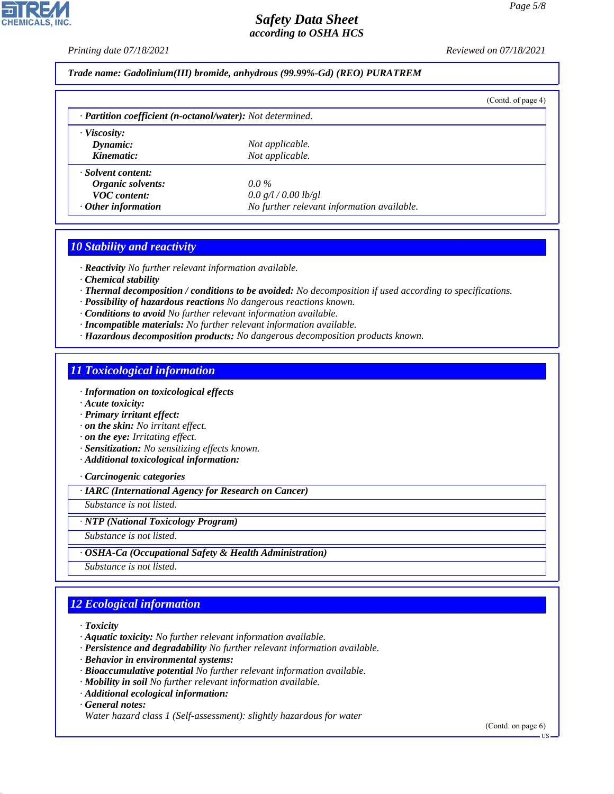*Printing date 07/18/2021 Reviewed on 07/18/2021*

*Trade name: Gadolinium(III) bromide, anhydrous (99.99%-Gd) (REO) PURATREM*

|                                                            |                                            | (Cond. of page 4) |
|------------------------------------------------------------|--------------------------------------------|-------------------|
| · Partition coefficient (n-octanol/water): Not determined. |                                            |                   |
| $\cdot$ Viscosity:                                         |                                            |                   |
| Dynamic:                                                   | Not applicable.                            |                   |
| Kinematic:                                                 | Not applicable.                            |                   |
| · Solvent content:                                         |                                            |                   |
| Organic solvents:                                          | $0.0\%$                                    |                   |
| <b>VOC</b> content:                                        | 0.0 g/l / 0.00 lb/gl                       |                   |
| $\cdot$ Other information                                  | No further relevant information available. |                   |

# *10 Stability and reactivity*

*· Reactivity No further relevant information available.*

*· Chemical stability*

- *· Thermal decomposition / conditions to be avoided: No decomposition if used according to specifications.*
- *· Possibility of hazardous reactions No dangerous reactions known.*

*· Conditions to avoid No further relevant information available.*

- *· Incompatible materials: No further relevant information available.*
- *· Hazardous decomposition products: No dangerous decomposition products known.*

## *11 Toxicological information*

*· Information on toxicological effects*

- *· Acute toxicity:*
- *· Primary irritant effect:*
- *· on the skin: No irritant effect.*
- *· on the eye: Irritating effect.*
- *· Sensitization: No sensitizing effects known.*
- *· Additional toxicological information:*

*· Carcinogenic categories*

*· IARC (International Agency for Research on Cancer)*

*Substance is not listed.*

### *· NTP (National Toxicology Program)*

*Substance is not listed.*

*· OSHA-Ca (Occupational Safety & Health Administration)*

*Substance is not listed.*

# *12 Ecological information*

*· Toxicity*

- *· Aquatic toxicity: No further relevant information available.*
- *· Persistence and degradability No further relevant information available.*
- *· Behavior in environmental systems:*
- *· Bioaccumulative potential No further relevant information available.*
- *· Mobility in soil No further relevant information available.*
- *· Additional ecological information:*

*· General notes:*

44.1.1

*Water hazard class 1 (Self-assessment): slightly hazardous for water*

(Contd. on page 6)

US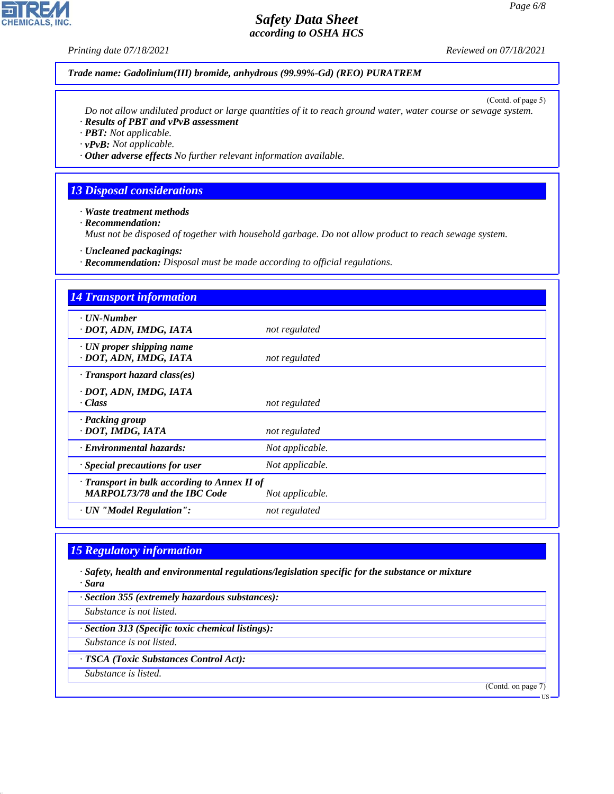**CHEMICALS, INC.** 

*Printing date 07/18/2021 Reviewed on 07/18/2021*

## *Trade name: Gadolinium(III) bromide, anhydrous (99.99%-Gd) (REO) PURATREM*

(Contd. of page 5)

*Do not allow undiluted product or large quantities of it to reach ground water, water course or sewage system. · Results of PBT and vPvB assessment*

*· PBT: Not applicable.*

*· vPvB: Not applicable.*

*· Other adverse effects No further relevant information available.*

## *13 Disposal considerations*

*· Waste treatment methods*

*· Recommendation:*

*Must not be disposed of together with household garbage. Do not allow product to reach sewage system.*

*· Uncleaned packagings:*

*· Recommendation: Disposal must be made according to official regulations.*

| <b>14 Transport information</b>                                                     |                 |
|-------------------------------------------------------------------------------------|-----------------|
| · <b><i>UN-Number</i></b><br>· DOT, ADN, IMDG, IATA                                 | not regulated   |
| $\cdot$ UN proper shipping name<br>· DOT, ADN, IMDG, IATA                           | not regulated   |
| $\cdot$ Transport hazard class(es)                                                  |                 |
| · DOT, ADN, IMDG, IATA<br>· Class                                                   | not regulated   |
| · Packing group<br>· DOT, IMDG, IATA                                                | not regulated   |
| · Environmental hazards:                                                            | Not applicable. |
| · Special precautions for user                                                      | Not applicable. |
| · Transport in bulk according to Annex II of<br><b>MARPOL73/78 and the IBC Code</b> | Not applicable. |
| · UN "Model Regulation":                                                            | not regulated   |

## *15 Regulatory information*

*· Safety, health and environmental regulations/legislation specific for the substance or mixture · Sara*

*· Section 355 (extremely hazardous substances):*

*Substance is not listed.*

*· Section 313 (Specific toxic chemical listings):*

*Substance is not listed.*

*· TSCA (Toxic Substances Control Act):*

*Substance is listed.*

44.1.1

(Contd. on page 7)

US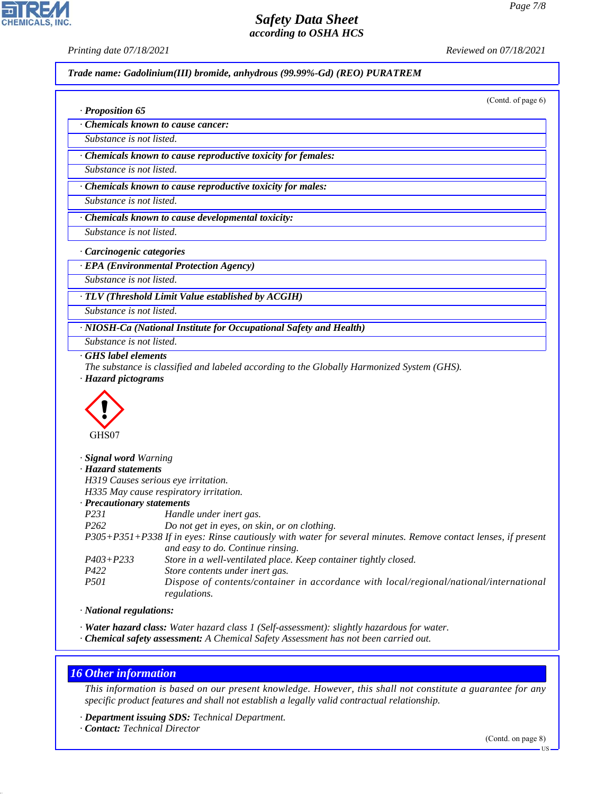**CHEMICALS, INC** 

*· Proposition 65*

*Printing date 07/18/2021 Reviewed on 07/18/2021*

*Trade name: Gadolinium(III) bromide, anhydrous (99.99%-Gd) (REO) PURATREM*

(Contd. of page 6)

*· Chemicals known to cause cancer:*

*Substance is not listed.*

*· Chemicals known to cause reproductive toxicity for females:*

*Substance is not listed.*

*· Chemicals known to cause reproductive toxicity for males:*

*Substance is not listed.*

*· Chemicals known to cause developmental toxicity:*

*Substance is not listed.*

*· Carcinogenic categories*

*· EPA (Environmental Protection Agency)*

*Substance is not listed.*

*· TLV (Threshold Limit Value established by ACGIH)*

*Substance is not listed.*

*· NIOSH-Ca (National Institute for Occupational Safety and Health)*

*Substance is not listed.*

*· GHS label elements*

*The substance is classified and labeled according to the Globally Harmonized System (GHS). · Hazard pictograms*



| · Signal word Warning               |                                                                                                                                                    |
|-------------------------------------|----------------------------------------------------------------------------------------------------------------------------------------------------|
| · Hazard statements                 |                                                                                                                                                    |
| H319 Causes serious eye irritation. |                                                                                                                                                    |
|                                     | H335 May cause respiratory irritation.                                                                                                             |
| · Precautionary statements          |                                                                                                                                                    |
| <i>P231</i>                         | Handle under inert gas.                                                                                                                            |
| P <sub>262</sub>                    | Do not get in eyes, on skin, or on clothing.                                                                                                       |
|                                     | P305+P351+P338 If in eyes: Rinse cautiously with water for several minutes. Remove contact lenses, if present<br>and easy to do. Continue rinsing. |
| $P403 + P233$                       | Store in a well-ventilated place. Keep container tightly closed.                                                                                   |
| P422                                | Store contents under inert gas.                                                                                                                    |
| <i>P501</i>                         | Dispose of contents/container in accordance with local/regional/national/international<br>regulations.                                             |

*· National regulations:*

*· Water hazard class: Water hazard class 1 (Self-assessment): slightly hazardous for water.*

*· Chemical safety assessment: A Chemical Safety Assessment has not been carried out.*

# *16 Other information*

44.1.1

*This information is based on our present knowledge. However, this shall not constitute a guarantee for any specific product features and shall not establish a legally valid contractual relationship.*

*· Department issuing SDS: Technical Department.*

*· Contact: Technical Director*